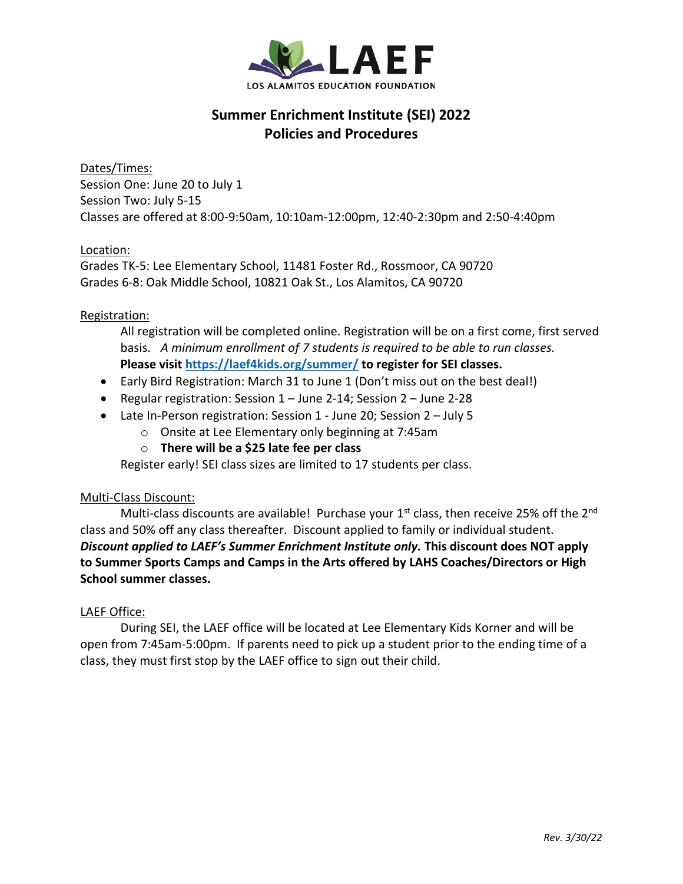

# **Summer Enrichment Institute (SEI) 2022 Policies and Procedures**

Dates/Times: Session One: June 20 to July 1 Session Two: July 5-15 Classes are offered at 8:00-9:50am, 10:10am-12:00pm, 12:40-2:30pm and 2:50-4:40pm

## Location:

Grades TK-5: Lee Elementary School, 11481 Foster Rd., Rossmoor, CA 90720 Grades 6-8: Oak Middle School, 10821 Oak St., Los Alamitos, CA 90720

## Registration:

All registration will be completed online. Registration will be on a first come, first served basis. *A minimum enrollment of 7 students is required to be able to run classes.* **Please visit<https://laef4kids.org/summer/> to register for SEI classes.**

- Early Bird Registration: March 31 to June 1 (Don't miss out on the best deal!)
- Regular registration: Session 1 June 2-14; Session 2 June 2-28
- Late In-Person registration: Session 1 June 20; Session 2 July 5
	- o Onsite at Lee Elementary only beginning at 7:45am
	- o **There will be a \$25 late fee per class**

Register early! SEI class sizes are limited to 17 students per class.

## Multi-Class Discount:

Multi-class discounts are available! Purchase your  $1<sup>st</sup>$  class, then receive 25% off the 2<sup>nd</sup> class and 50% off any class thereafter. Discount applied to family or individual student. *Discount applied to LAEF's Summer Enrichment Institute only.* **This discount does NOT apply to Summer Sports Camps and Camps in the Arts offered by LAHS Coaches/Directors or High School summer classes.**

## LAEF Office:

During SEI, the LAEF office will be located at Lee Elementary Kids Korner and will be open from 7:45am-5:00pm. If parents need to pick up a student prior to the ending time of a class, they must first stop by the LAEF office to sign out their child.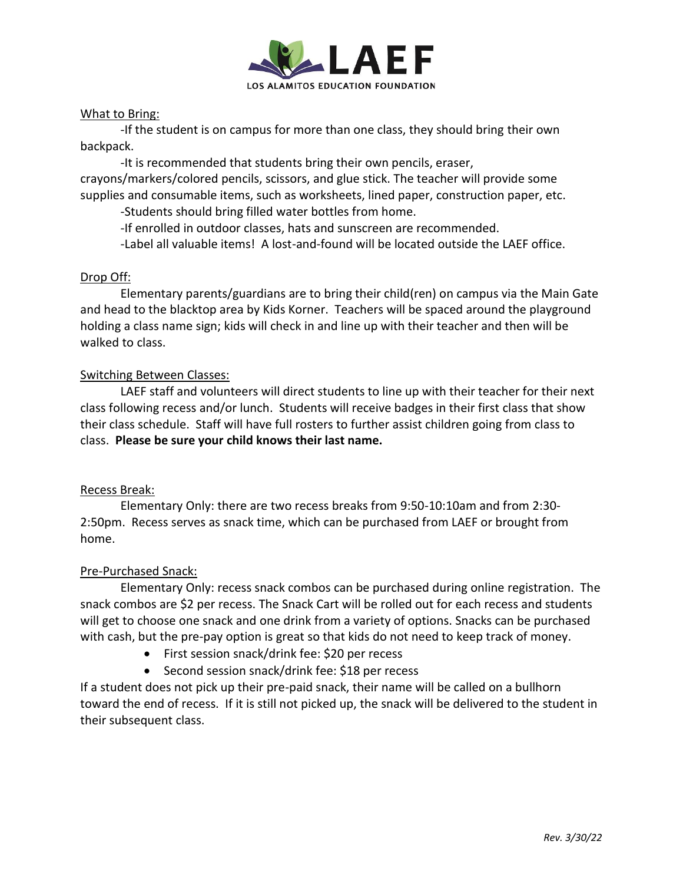

## What to Bring:

-If the student is on campus for more than one class, they should bring their own backpack.

-It is recommended that students bring their own pencils, eraser, crayons/markers/colored pencils, scissors, and glue stick. The teacher will provide some supplies and consumable items, such as worksheets, lined paper, construction paper, etc.

-Students should bring filled water bottles from home.

-If enrolled in outdoor classes, hats and sunscreen are recommended.

-Label all valuable items! A lost-and-found will be located outside the LAEF office.

#### Drop Off:

Elementary parents/guardians are to bring their child(ren) on campus via the Main Gate and head to the blacktop area by Kids Korner. Teachers will be spaced around the playground holding a class name sign; kids will check in and line up with their teacher and then will be walked to class.

#### Switching Between Classes:

LAEF staff and volunteers will direct students to line up with their teacher for their next class following recess and/or lunch. Students will receive badges in their first class that show their class schedule. Staff will have full rosters to further assist children going from class to class. **Please be sure your child knows their last name.**

#### Recess Break:

Elementary Only: there are two recess breaks from 9:50-10:10am and from 2:30- 2:50pm. Recess serves as snack time, which can be purchased from LAEF or brought from home.

#### Pre-Purchased Snack:

Elementary Only: recess snack combos can be purchased during online registration. The snack combos are \$2 per recess. The Snack Cart will be rolled out for each recess and students will get to choose one snack and one drink from a variety of options. Snacks can be purchased with cash, but the pre-pay option is great so that kids do not need to keep track of money.

- First session snack/drink fee: \$20 per recess
- Second session snack/drink fee: \$18 per recess

If a student does not pick up their pre-paid snack, their name will be called on a bullhorn toward the end of recess. If it is still not picked up, the snack will be delivered to the student in their subsequent class.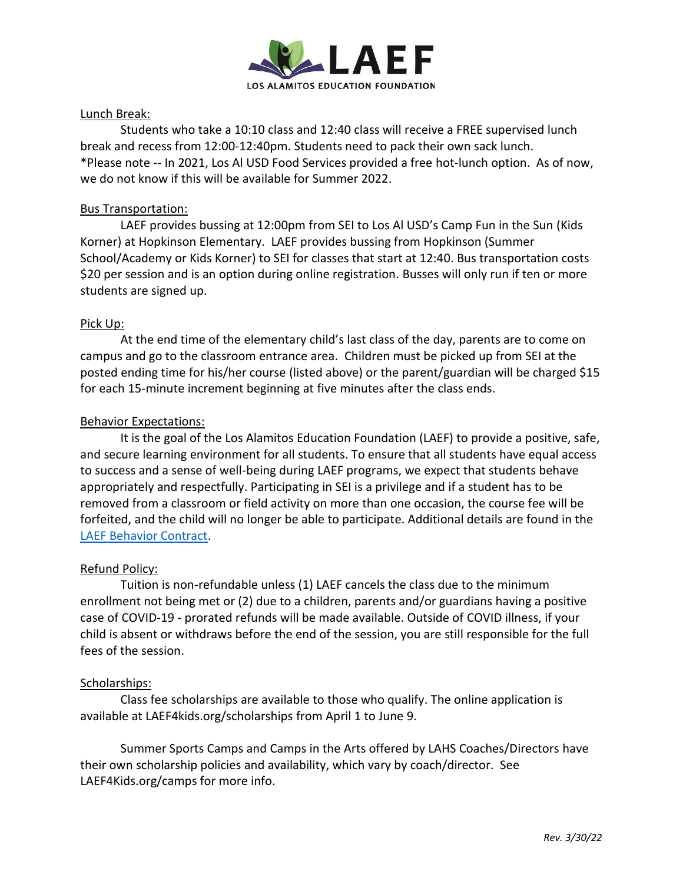

## Lunch Break:

Students who take a 10:10 class and 12:40 class will receive a FREE supervised lunch break and recess from 12:00-12:40pm. Students need to pack their own sack lunch. \*Please note -- In 2021, Los Al USD Food Services provided a free hot-lunch option. As of now, we do not know if this will be available for Summer 2022.

## Bus Transportation:

LAEF provides bussing at 12:00pm from SEI to Los Al USD's Camp Fun in the Sun (Kids Korner) at Hopkinson Elementary. LAEF provides bussing from Hopkinson (Summer School/Academy or Kids Korner) to SEI for classes that start at 12:40. Bus transportation costs \$20 per session and is an option during online registration. Busses will only run if ten or more students are signed up.

## Pick Up:

At the end time of the elementary child's last class of the day, parents are to come on campus and go to the classroom entrance area. Children must be picked up from SEI at the posted ending time for his/her course (listed above) or the parent/guardian will be charged \$15 for each 15-minute increment beginning at five minutes after the class ends.

## Behavior Expectations:

It is the goal of the Los Alamitos Education Foundation (LAEF) to provide a positive, safe, and secure learning environment for all students. To ensure that all students have equal access to success and a sense of well-being during LAEF programs, we expect that students behave appropriately and respectfully. Participating in SEI is a privilege and if a student has to be removed from a classroom or field activity on more than one occasion, the course fee will be forfeited, and the child will no longer be able to participate. Additional details are found in the [LAEF Behavior Contract.](https://laef4kids.org/wp-content/uploads/2020/04/LAEF-Behavior-Contract.pdf)

## Refund Policy:

Tuition is non-refundable unless (1) LAEF cancels the class due to the minimum enrollment not being met or (2) due to a children, parents and/or guardians having a positive case of COVID-19 - prorated refunds will be made available. Outside of COVID illness, if your child is absent or withdraws before the end of the session, you are still responsible for the full fees of the session.

#### Scholarships:

Class fee scholarships are available to those who qualify. The online application is available at LAEF4kids.org/scholarships from April 1 to June 9.

Summer Sports Camps and Camps in the Arts offered by LAHS Coaches/Directors have their own scholarship policies and availability, which vary by coach/director. See LAEF4Kids.org/camps for more info.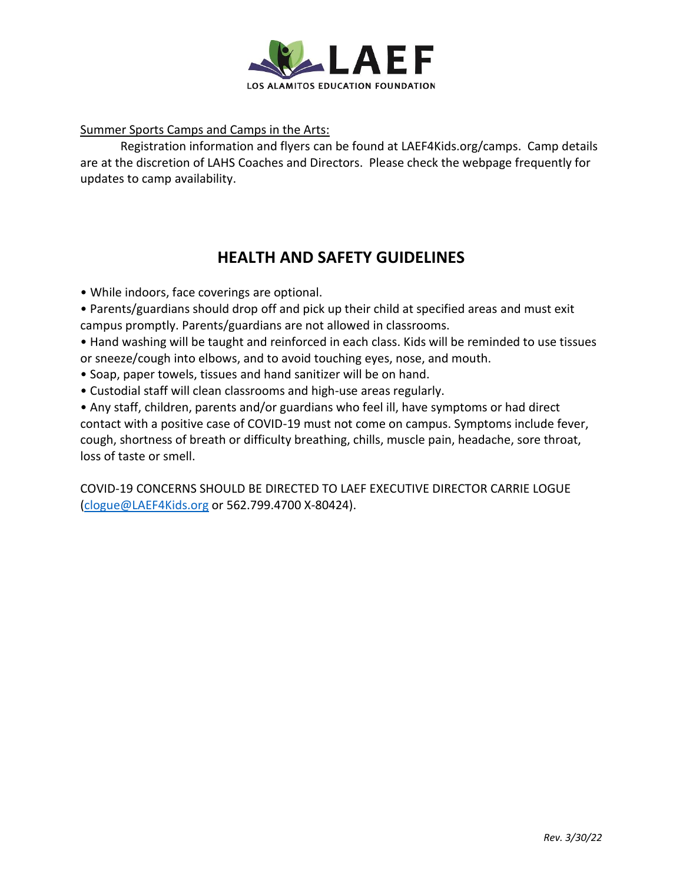

Summer Sports Camps and Camps in the Arts:

Registration information and flyers can be found at LAEF4Kids.org/camps. Camp details are at the discretion of LAHS Coaches and Directors. Please check the webpage frequently for updates to camp availability.

# **HEALTH AND SAFETY GUIDELINES**

- While indoors, face coverings are optional.
- Parents/guardians should drop off and pick up their child at specified areas and must exit campus promptly. Parents/guardians are not allowed in classrooms.

• Hand washing will be taught and reinforced in each class. Kids will be reminded to use tissues or sneeze/cough into elbows, and to avoid touching eyes, nose, and mouth.

- Soap, paper towels, tissues and hand sanitizer will be on hand.
- Custodial staff will clean classrooms and high-use areas regularly.

• Any staff, children, parents and/or guardians who feel ill, have symptoms or had direct contact with a positive case of COVID-19 must not come on campus. Symptoms include fever, cough, shortness of breath or difficulty breathing, chills, muscle pain, headache, sore throat, loss of taste or smell.

COVID-19 CONCERNS SHOULD BE DIRECTED TO LAEF EXECUTIVE DIRECTOR CARRIE LOGUE [\(clogue@LAEF4Kids.org](mailto:clogue@LAEF4Kids.org) or 562.799.4700 X-80424).